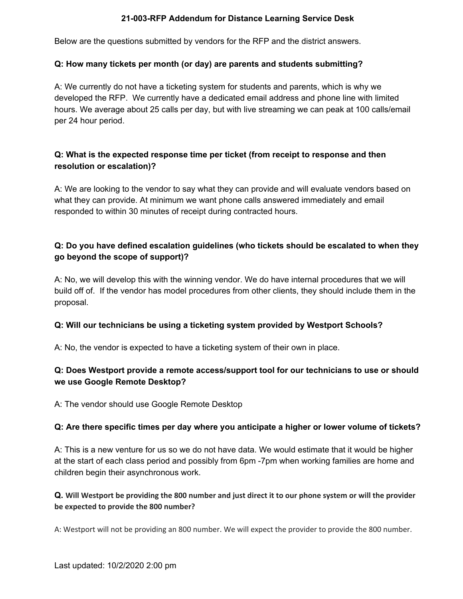### **21-003-RFP Addendum for Distance Learning Service Desk**

Below are the questions submitted by vendors for the RFP and the district answers.

### **Q: How many tickets per month (or day) are parents and students submitting?**

A: We currently do not have a ticketing system for students and parents, which is why we developed the RFP. We currently have a dedicated email address and phone line with limited hours. We average about 25 calls per day, but with live streaming we can peak at 100 calls/email per 24 hour period.

## **Q: What is the expected response time per ticket (from receipt to response and then resolution or escalation)?**

A: We are looking to the vendor to say what they can provide and will evaluate vendors based on what they can provide. At minimum we want phone calls answered immediately and email responded to within 30 minutes of receipt during contracted hours.

## **Q: Do you have defined escalation guidelines (who tickets should be escalated to when they go beyond the scope of support)?**

A: No, we will develop this with the winning vendor. We do have internal procedures that we will build off of. If the vendor has model procedures from other clients, they should include them in the proposal.

### **Q: Will our technicians be using a ticketing system provided by Westport Schools?**

A: No, the vendor is expected to have a ticketing system of their own in place.

## **Q: Does Westport provide a remote access/support tool for our technicians to use or should we use Google Remote Desktop?**

A: The vendor should use Google Remote Desktop

### **Q: Are there specific times per day where you anticipate a higher or lower volume of tickets?**

A: This is a new venture for us so we do not have data. We would estimate that it would be higher at the start of each class period and possibly from 6pm -7pm when working families are home and children begin their asynchronous work.

### Q. Will Westport be providing the 800 number and just direct it to our phone system or will the provider **be expected to provide the 800 number?**

A: Westport will not be providing an 800 number. We will expect the provider to provide the 800 number.